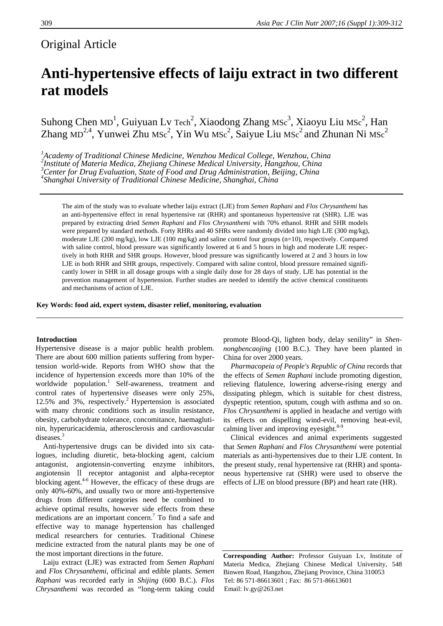## Original Article

# **Anti-hypertensive effects of laiju extract in two different rat models**

Suhong Chen MD<sup>1</sup>, Guiyuan Lv Tech<sup>2</sup>, Xiaodong Zhang MSc<sup>3</sup>, Xiaoyu Liu MSc<sup>2</sup>, Han Zhang MD<sup>2,4</sup>, Yunwei Zhu Msc<sup>2</sup>, Yin Wu Msc<sup>2</sup>, Saiyue Liu Msc<sup>2</sup> and Zhunan Ni Msc<sup>2</sup>

<sup>1</sup><br>
<sup>2</sup> Academy of Traditional Chinese Medicine, Wenzhou Medical College, Wenzhou, China<br><sup>2</sup> Institute of Materia Medica, Zhejiane Chinese Medical University, Hanezhou, China *Institute of Materia Medica, Zhejiang Chinese Medical University, Hangzhou, China 3 Center for Drug Evaluation, State of Food and Drug Administration, Beijing, China 4 Shanghai University of Traditional Chinese Medicine, Shanghai, China*

The aim of the study was to evaluate whether laiju extract (LJE) from *Semen Raphani* and *Flos Chrysanthemi* has an anti-hypertensive effect in renal hypertensive rat (RHR) and spontaneous hypertensive rat (SHR). LJE was prepared by extracting dried *Semen Raphani* and *Flos Chrysanthemi* with 70% ethanol. RHR and SHR models were prepared by standard methods. Forty RHRs and 40 SHRs were randomly divided into high LJE (300 mg/kg), moderate LJE (200 mg/kg), low LJE (100 mg/kg) and saline control four groups (n=10), respectively. Compared with saline control, blood pressure was significantly lowered at 6 and 5 hours in high and moderate LJE respectively in both RHR and SHR groups. However, blood pressure was significantly lowered at 2 and 3 hours in low LJE in both RHR and SHR groups, respectively. Compared with saline control, blood pressure remained significantly lower in SHR in all dosage groups with a single daily dose for 28 days of study. LJE has potential in the prevention management of hypertension. Further studies are needed to identify the active chemical constituents and mechanisms of action of LJE.

**Key Words: food aid, expert system, disaster relief, monitoring, evaluation** 

## **Introduction**

Hypertensive disease is a major public health problem. There are about 600 million patients suffering from hypertension world-wide. Reports from WHO show that the incidence of hypertension exceeds more than 10% of the worldwide population.<sup>1</sup> Self-awareness, treatment and control rates of hypertensive diseases were only 25%, 12.5% and 3%, respectively.<sup>2</sup> Hypertension is associated with many chronic conditions such as insulin resistance, obesity, carbohydrate tolerance, concomitance, haemaglutinin, hyperuricacidemia, atherosclerosis and cardiovascular diseases.<sup>3</sup>

Anti-hypertensive drugs can be divided into six catalogues, including diuretic, beta-blocking agent, calcium antagonist, angiotensin-converting enzyme inhibitors, angiotensin Ⅱ receptor antagonist and alpha-receptor blocking agent. $4-6$  However, the efficacy of these drugs are only 40%-60%, and usually two or more anti-hypertensive drugs from different categories need be combined to achieve optimal results, however side effects from these medications are an important concern.<sup>7</sup> To find a safe and effective way to manage hypertension has challenged medical researchers for centuries. Traditional Chinese medicine extracted from the natural plants may be one of the most important directions in the future.

 Laiju extract (LJE) was extracted from *Semen Raphani* and *Flos Chrysanthemi*, officinal and edible plants. *Semen Raphani* was recorded early in *Shijing* (600 B.C.). *Flos Chrysanthemi* was recorded as "long-term taking could promote Blood-Qi, lighten body, delay senility" in *Shennongbencaojing* (100 B.C.). They have been planted in China for over 2000 years.

*Pharmacopeia of People's Republic of China* records that the effects of *Semen Raphani* include promoting digestion, relieving flatulence, lowering adverse-rising energy and dissipating phlegm, which is suitable for chest distress, dyspeptic retention, sputum, cough with asthma and so on. *Flos Chrysanthemi* is applied in headache and vertigo with its effects on dispelling wind-evil, removing heat-evil, calming liver and improving eyesight.<sup>8-9</sup>

Clinical evidences and animal experiments suggested that *Semen Raphani* and *Flos Chrysanthemi* were potential materials as anti-hypertensives due to their LJE content. In the present study, renal hypertensive rat (RHR) and spontaneous hypertensive rat (SHR) were used to observe the effects of LJE on blood pressure (BP) and heart rate (HR).

**Corresponding Author:** Professor Guiyuan Lv, Institute of Materia Medica, Zhejiang Chinese Medical University, 548 Binwen Road, Hangzhou, Zhejiang Province, China 310053 Tel: 86 571-86613601 ; Fax: 86 571-86613601 Email: lv.gy@263.net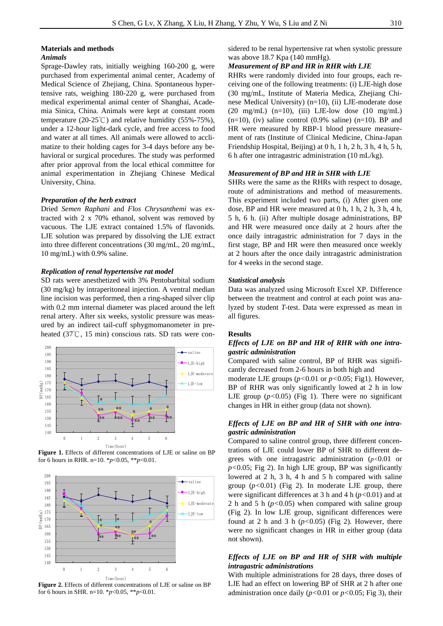#### **Materials and methods** *Animals*

Sprage-Dawley rats, initially weighing 160-200 g, were purchased from experimental animal center, Academy of Medical Science of Zhejiang, China. Spontaneous hypertensive rats, weighing 180-220 g, were purchased from medical experimental animal center of Shanghai, Academia Sinica, China. Animals were kept at constant room temperature (20-25°C) and relative humidity (55%-75%), under a 12-hour light-dark cycle, and free access to food and water at all times. All animals were allowed to acclimatize to their holding cages for 3-4 days before any behavioral or surgical procedures. The study was performed after prior approval from the local ethical committee for animal experimentation in Zhejiang Chinese Medical University, China.

## *Preparation of the herb extract*

Dried *Semen Raphani* and *Flos Chrysanthemi* was extracted with 2 x 70% ethanol, solvent was removed by vacuous. The LJE extract contained 1.5% of flavonids. LJE solution was prepared by dissolving the LJE extract into three different concentrations (30 mg/mL, 20 mg/mL, 10 mg/mL) with 0.9% saline.

#### *Replication of renal hypertensive rat model*

SD rats were anesthetized with 3% Pentobarbital sodium (30 mg/kg) by intraperitoneal injection. A ventral median line incision was performed, then a ring-shaped silver clip with 0.2 mm internal diameter was placed around the left renal artery. After six weeks, systolic pressure was measured by an indirect tail-cuff sphygmomanometer in preheated (37℃, 15 min) conscious rats. SD rats were con-



**Figure 1.** Effects of different concentrations of LJE or saline on BP for 6 hours in RHR. n=10. \**p*<0.05, \*\**p*<0.01.



**Figure 2.** Effects of different concentrations of LJE or saline on BP for 6 hours in SHR. n=10. \**p*<0.05, \*\**p*<0.01.

sidered to be renal hypertensive rat when systolic pressure was above 18.7 Kpa (140 mmHg).

#### *Measurement of BP and HR in RHR with LJE*

RHRs were randomly divided into four groups, each receiving one of the following treatments: (i) LJE-high dose (30 mg/mL, Institute of Materia Medica, Zhejiang Chinese Medical University) (n=10), (ii) LJE-moderate dose (20 mg/mL)  $(n=10)$ , (iii) LJE-low dose (10 mg/mL)  $(n=10)$ , (iv) saline control (0.9% saline)  $(n=10)$ . BP and HR were measured by RBP-1 blood pressure measurement of rats (Institute of Clinical Medicine, China-Japan Friendship Hospital, Beijing) at 0 h, 1 h, 2 h, 3 h, 4 h, 5 h, 6 h after one intragastric administration (10 mL/kg).

#### *Measurement of BP and HR in SHR with LJE*

SHRs were the same as the RHRs with respect to dosage, route of administrations and method of measurements. This experiment included two parts, (i) After given one dose, BP and HR were measured at 0 h, 1 h, 2 h, 3 h, 4 h, 5 h, 6 h. (ii) After multiple dosage administrations, BP and HR were measured once daily at 2 hours after the once daily intragastric administration for 7 days in the first stage, BP and HR were then measured once weekly at 2 hours after the once daily intragastric administration for 4 weeks in the second stage.

#### *Statistical analysis*

Data was analyzed using Microsoft Excel XP. Difference between the treatment and control at each point was analyzed by student *T*-test. Data were expressed as mean in all figures.

## **Results**

## *Effects of LJE on BP and HR of RHR with one intragastric administration*

Compared with saline control, BP of RHR was significantly decreased from 2-6 hours in both high and

moderate LJE groups (*p<*0.01 or *p<*0.05; Fig1). However, BP of RHR was only significantly lowed at 2 h in low LJE group  $(p<0.05)$  (Fig 1). There were no significant changes in HR in either group (data not shown).

## *Effects of LJE on BP and HR of SHR with one intragastric administration*

Compared to saline control group, three different concentrations of LJE could lower BP of SHR to different degrees with one intragastric administration (*p<*0.01 or *p<*0.05; Fig 2). In high LJE group, BP was significantly lowered at 2 h, 3 h, 4 h and 5 h compared with saline group  $(p<0.01)$  (Fig 2). In moderate LJE group, there were significant differences at 3 h and 4 h (*p<*0.01) and at 2 h and 5 h (*p<*0.05) when compared with saline group (Fig 2). In low LJE group, significant differences were found at 2 h and 3 h  $(p<0.05)$  (Fig 2). However, there were no significant changes in HR in either group (data not shown).

## *Effects of LJE on BP and HR of SHR with multiple intragastric administrations*

With multiple administrations for 28 days, three doses of LJE had an effect on lowering BP of SHR at 2 h after one administration once daily (*p<*0.01 or *p<*0.05; Fig 3), their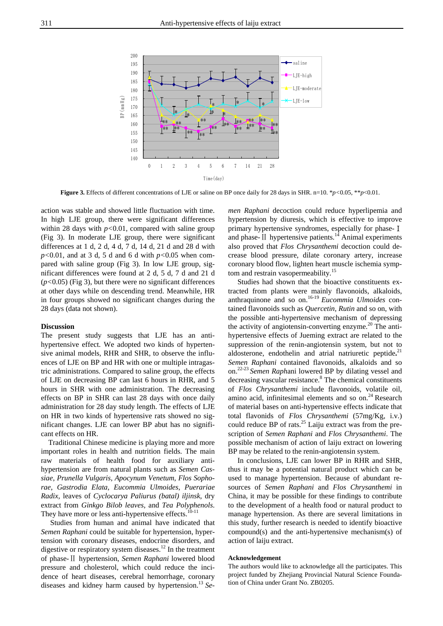

**Figure 3.** Effects of different concentrations of LJE or saline on BP once daily for 28 days in SHR. n=10. \**p<*0.05, \*\**p*<0.01.

action was stable and showed little fluctuation with time. In high LJE group, there were significant differences within 28 days with  $p<0.01$ , compared with saline group (Fig 3). In moderate LJE group, there were significant differences at 1 d, 2 d, 4 d, 7 d, 14 d, 21 d and 28 d with *p<*0.01, and at 3 d, 5 d and 6 d with *p<*0.05 when compared with saline group (Fig 3). In low LJE group, significant differences were found at 2 d, 5 d, 7 d and 21 d (*p<*0.05) (Fig 3), but there were no significant differences at other days while on descending trend. Meanwhile, HR in four groups showed no significant changes during the 28 days (data not shown).

## **Discussion**

The present study suggests that LJE has an antihypertensive effect. We adopted two kinds of hypertensive animal models, RHR and SHR, to observe the influences of LJE on BP and HR with one or multiple intragastric administrations. Compared to saline group, the effects of LJE on decreasing BP can last 6 hours in RHR, and 5 hours in SHR with one administration. The decreasing effects on BP in SHR can last 28 days with once daily administration for 28 day study length. The effects of LJE on HR in two kinds of hypertensive rats showed no significant changes. LJE can lower BP abut has no significant effects on HR.

Traditional Chinese medicine is playing more and more important roles in health and nutrition fields. The main raw materials of health food for auxiliary antihypertension are from natural plants such as *Semen Cassiae*, *Prunella Vulgaris*, *Apocynum Venetum*, *Flos Sophorae*, *Gastrodia Elata*, *Eucommia Ulmoides*, *Puerariae Radix*, leaves of *Cyclocarya Paliurus (batal) iljinsk*, dry extract from *Ginkgo Bilob leaves*, and *Tea Polyphenols*. They have more or less anti-hypertensive effects. $10-11$ 

 Studies from human and animal have indicated that *Semen Raphani* could be suitable for hypertension, hypertension with coronary diseases, endocrine disorders, and digestive or respiratory system diseases.<sup>12</sup> In the treatment of phase-Ⅱ hypertension, *Semen Raphani* lowered blood pressure and cholesterol, which could reduce the incidence of heart diseases, cerebral hemorrhage, coronary diseases and kidney harm caused by hypertension.13 *Se-* *men Raphani* decoction could reduce hyperlipemia and hypertension by diuresis, which is effective to improve primary hypertensive syndromes, especially for phase-Ⅰ and phase- $\prod$  hypertensive patients.<sup>14</sup> Animal experiments also proved that *Flos Chrysanthemi* decoction could decrease blood pressure, dilate coronary artery, increase coronary blood flow, lighten heart muscle ischemia symptom and restrain vasopermeability.<sup>15</sup>

 Studies had shown that the bioactive constituents extracted from plants were mainly flavonoids, alkaloids, anthraquinone and so on.16-19 *Eucommia Ulmoides* contained flavonoids such as *Quercetin, Rutin* and so on, with the possible anti-hypertensive mechanism of depressing the activity of angiotensin-converting enzyme.<sup>20</sup> The antihypertensive effects of Jueming extract are related to the suppression of the renin-angiotensin system, but not to aldosterone, endothelin and atrial natriuretic peptide**.** 21 *Semen Raphani* contained flavonoids, alkaloids and so on.22-23 *Semen Raph*ani lowered BP by dilating vessel and decreasing vascular resistance.<sup>8</sup> The chemical constituents of *Flos Chrysanthemi* include flavonoids, volatile oil, amino acid, infinitesimal elements and so on. $24$  Research of material bases on anti-hypertensive effects indicate that total flavonids of *Flos Chrysanthemi* (57mg/Kg, i.v.) could reduce BP of rats. $^{25}$  Laiju extract was from the prescription of *Semen Raphani* and *Flos Chrysanthemi*. The possible mechanism of action of laiju extract on lowering BP may be related to the renin-angiotensin system.

 In conclusions, LJE can lower BP in RHR and SHR, thus it may be a potential natural product which can be used to manage hypertension. Because of abundant resources of *Semen Raphani* and *Flos Chrysanthemi* in China, it may be possible for these findings to contribute to the development of a health food or natural product to manage hypertension. As there are several limitations in this study, further research is needed to identify bioactive compound(s) and the anti-hypertensive mechanism(s) of action of laiju extract.

#### **Acknowledgement**

The authors would like to acknowledge all the participates. This project funded by Zhejiang Provincial Natural Science Foundation of China under Grant No. ZB0205.